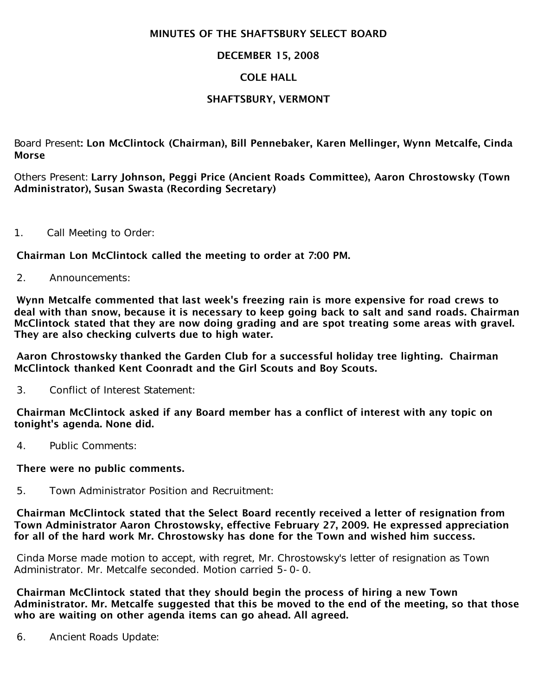### MINUTES OF THE SHAFTSBURY SELECT BOARD

## DECEMBER 15, 2008

# COLE HALL

# SHAFTSBURY, VERMONT

Board Present: Lon McClintock (Chairman), Bill Pennebaker, Karen Mellinger, Wynn Metcalfe, Cinda Morse

Others Present: Larry Johnson, Peggi Price (Ancient Roads Committee), Aaron Chrostowsky (Town Administrator), Susan Swasta (Recording Secretary)

1. Call Meeting to Order:

Chairman Lon McClintock called the meeting to order at 7:00 PM.

2. Announcements:

Wynn Metcalfe commented that last week's freezing rain is more expensive for road crews to deal with than snow, because it is necessary to keep going back to salt and sand roads. Chairman McClintock stated that they are now doing grading and are spot treating some areas with gravel. They are also checking culverts due to high water.

Aaron Chrostowsky thanked the Garden Club for a successful holiday tree lighting. Chairman McClintock thanked Kent Coonradt and the Girl Scouts and Boy Scouts.

3. Conflict of Interest Statement:

Chairman McClintock asked if any Board member has a conflict of interest with any topic on tonight's agenda. None did.

4. Public Comments:

#### There were no public comments.

5. Town Administrator Position and Recruitment:

Chairman McClintock stated that the Select Board recently received a letter of resignation from Town Administrator Aaron Chrostowsky, effective February 27, 2009. He expressed appreciation for all of the hard work Mr. Chrostowsky has done for the Town and wished him success.

Cinda Morse made motion to accept, with regret, Mr. Chrostowsky's letter of resignation as Town Administrator. Mr. Metcalfe seconded. Motion carried 5-0-0.

Chairman McClintock stated that they should begin the process of hiring a new Town Administrator. Mr. Metcalfe suggested that this be moved to the end of the meeting, so that those who are waiting on other agenda items can go ahead. All agreed.

6. Ancient Roads Update: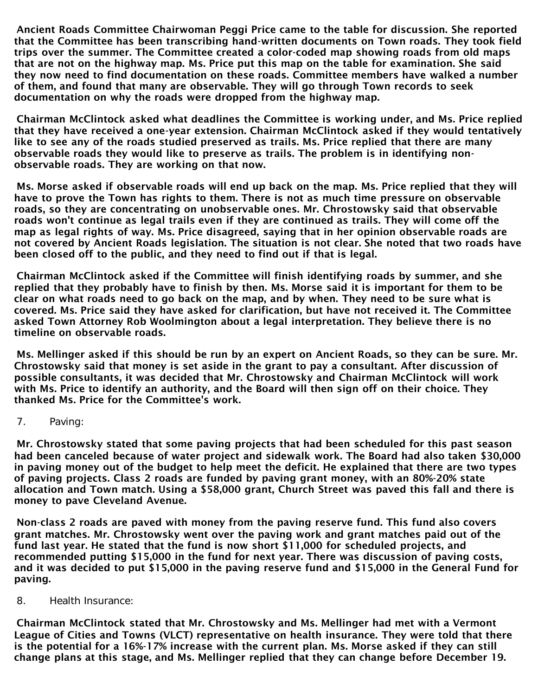Ancient Roads Committee Chairwoman Peggi Price came to the table for discussion. She reported that the Committee has been transcribing hand-written documents on Town roads. They took field trips over the summer. The Committee created a color-coded map showing roads from old maps that are not on the highway map. Ms. Price put this map on the table for examination. She said they now need to find documentation on these roads. Committee members have walked a number of them, and found that many are observable. They will go through Town records to seek documentation on why the roads were dropped from the highway map.

Chairman McClintock asked what deadlines the Committee is working under, and Ms. Price replied that they have received a one-year extension. Chairman McClintock asked if they would tentatively like to see any of the roads studied preserved as trails. Ms. Price replied that there are many observable roads they would like to preserve as trails. The problem is in identifying nonobservable roads. They are working on that now.

Ms. Morse asked if observable roads will end up back on the map. Ms. Price replied that they will have to prove the Town has rights to them. There is not as much time pressure on observable roads, so they are concentrating on unobservable ones. Mr. Chrostowsky said that observable roads won't continue as legal trails even if they are continued as trails. They will come off the map as legal rights of way. Ms. Price disagreed, saying that in her opinion observable roads are not covered by Ancient Roads legislation. The situation is not clear. She noted that two roads have been closed off to the public, and they need to find out if that is legal.

Chairman McClintock asked if the Committee will finish identifying roads by summer, and she replied that they probably have to finish by then. Ms. Morse said it is important for them to be clear on what roads need to go back on the map, and by when. They need to be sure what is covered. Ms. Price said they have asked for clarification, but have not received it. The Committee asked Town Attorney Rob Woolmington about a legal interpretation. They believe there is no timeline on observable roads.

Ms. Mellinger asked if this should be run by an expert on Ancient Roads, so they can be sure. Mr. Chrostowsky said that money is set aside in the grant to pay a consultant. After discussion of possible consultants, it was decided that Mr. Chrostowsky and Chairman McClintock will work with Ms. Price to identify an authority, and the Board will then sign off on their choice. They thanked Ms. Price for the Committee's work.

7. Paving:

Mr. Chrostowsky stated that some paving projects that had been scheduled for this past season had been canceled because of water project and sidewalk work. The Board had also taken \$30,000 in paving money out of the budget to help meet the deficit. He explained that there are two types of paving projects. Class 2 roads are funded by paving grant money, with an 80%-20% state allocation and Town match. Using a \$58,000 grant, Church Street was paved this fall and there is money to pave Cleveland Avenue.

Non-class 2 roads are paved with money from the paving reserve fund. This fund also covers grant matches. Mr. Chrostowsky went over the paving work and grant matches paid out of the fund last year. He stated that the fund is now short \$11,000 for scheduled projects, and recommended putting \$15,000 in the fund for next year. There was discussion of paving costs, and it was decided to put \$15,000 in the paving reserve fund and \$15,000 in the General Fund for paving.

8. Health Insurance:

Chairman McClintock stated that Mr. Chrostowsky and Ms. Mellinger had met with a Vermont League of Cities and Towns (VLCT) representative on health insurance. They were told that there is the potential for a 16%-17% increase with the current plan. Ms. Morse asked if they can still change plans at this stage, and Ms. Mellinger replied that they can change before December 19.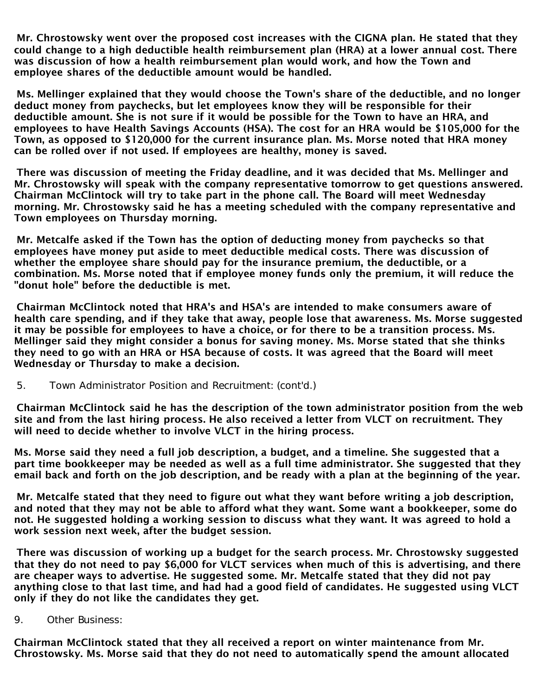Mr. Chrostowsky went over the proposed cost increases with the CIGNA plan. He stated that they could change to a high deductible health reimbursement plan (HRA) at a lower annual cost. There was discussion of how a health reimbursement plan would work, and how the Town and employee shares of the deductible amount would be handled.

Ms. Mellinger explained that they would choose the Town's share of the deductible, and no longer deduct money from paychecks, but let employees know they will be responsible for their deductible amount. She is not sure if it would be possible for the Town to have an HRA, and employees to have Health Savings Accounts (HSA). The cost for an HRA would be \$105,000 for the Town, as opposed to \$120,000 for the current insurance plan. Ms. Morse noted that HRA money can be rolled over if not used. If employees are healthy, money is saved.

There was discussion of meeting the Friday deadline, and it was decided that Ms. Mellinger and Mr. Chrostowsky will speak with the company representative tomorrow to get questions answered. Chairman McClintock will try to take part in the phone call. The Board will meet Wednesday morning. Mr. Chrostowsky said he has a meeting scheduled with the company representative and Town employees on Thursday morning.

Mr. Metcalfe asked if the Town has the option of deducting money from paychecks so that employees have money put aside to meet deductible medical costs. There was discussion of whether the employee share should pay for the insurance premium, the deductible, or a combination. Ms. Morse noted that if employee money funds only the premium, it will reduce the "donut hole" before the deductible is met.

Chairman McClintock noted that HRA's and HSA's are intended to make consumers aware of health care spending, and if they take that away, people lose that awareness. Ms. Morse suggested it may be possible for employees to have a choice, or for there to be a transition process. Ms. Mellinger said they might consider a bonus for saving money. Ms. Morse stated that she thinks they need to go with an HRA or HSA because of costs. It was agreed that the Board will meet Wednesday or Thursday to make a decision.

5. Town Administrator Position and Recruitment: (cont'd.)

Chairman McClintock said he has the description of the town administrator position from the web site and from the last hiring process. He also received a letter from VLCT on recruitment. They will need to decide whether to involve VLCT in the hiring process.

Ms. Morse said they need a full job description, a budget, and a timeline. She suggested that a part time bookkeeper may be needed as well as a full time administrator. She suggested that they email back and forth on the job description, and be ready with a plan at the beginning of the year.

Mr. Metcalfe stated that they need to figure out what they want before writing a job description, and noted that they may not be able to afford what they want. Some want a bookkeeper, some do not. He suggested holding a working session to discuss what they want. It was agreed to hold a work session next week, after the budget session.

There was discussion of working up a budget for the search process. Mr. Chrostowsky suggested that they do not need to pay \$6,000 for VLCT services when much of this is advertising, and there are cheaper ways to advertise. He suggested some. Mr. Metcalfe stated that they did not pay anything close to that last time, and had had a good field of candidates. He suggested using VLCT only if they do not like the candidates they get.

9. Other Business:

Chairman McClintock stated that they all received a report on winter maintenance from Mr. Chrostowsky. Ms. Morse said that they do not need to automatically spend the amount allocated